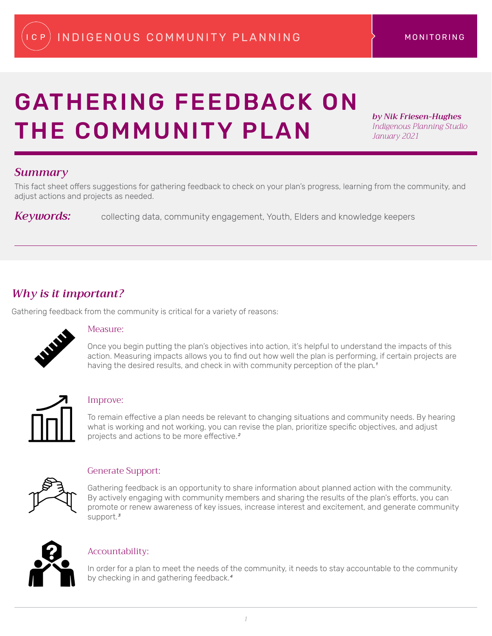# GATHERING FEEDBACK ON THE COMMUNITY PLAN

*by Nik Friesen-Hughes Indigenous Planning Studio January 2021*

## *Summary*

This fact sheet offers suggestions for gathering feedback to check on your plan's progress, learning from the community, and adjust actions and projects as needed.

*Keywords:* collecting data, community engagement, Youth, Elders and knowledge keepers

## *Why is it important?*

Gathering feedback from the community is critical for a variety of reasons:



#### Measure:

Once you begin putting the plan's objectives into action, it's helpful to understand the impacts of this action. Measuring impacts allows you to find out how well the plan is performing, if certain projects are having the desired results, and check in with community perception of the plan*.1*



#### Improve:

To remain effective a plan needs be relevant to changing situations and community needs. By hearing what is working and not working, you can revise the plan, prioritize specific objectives, and adjust projects and actions to be more effective.*2*



#### Generate Support:

Gathering feedback is an opportunity to share information about planned action with the community. By actively engaging with community members and sharing the results of the plan's efforts, you can promote or renew awareness of key issues, increase interest and excitement, and generate community support.*3*



#### Accountability:

In order for a plan to meet the needs of the community, it needs to stay accountable to the community by checking in and gathering feedback.*4*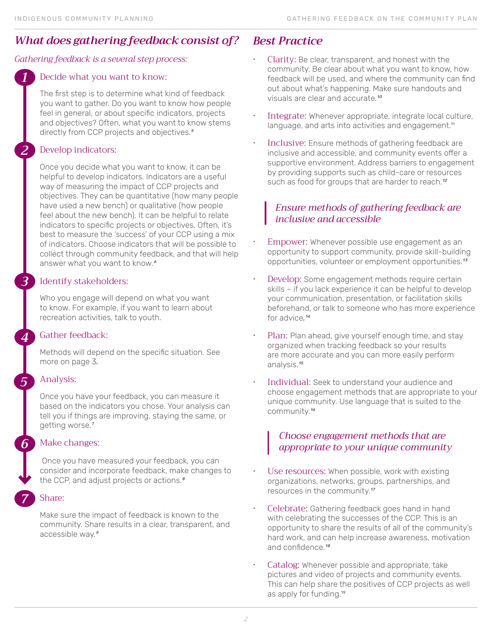# *What does gathering feedback consist of?*

#### *Gathering feedback is a several step process:*

#### Decide what you want to know:

The first step is to determine what kind of feedback you want to gather. Do you want to know how people feel in general, or about specific indicators, projects and objectives? Often, what you want to know stems directly from CCP projects and objectives.*5*

#### Develop indicators:

*1*

*2*

*3*

*4*

*5*

*6*

*7*

Once you decide what you want to know, it can be helpful to develop indicators. Indicators are a useful way of measuring the impact of CCP projects and objectives. They can be quantitative (how many people have used a new bench) or qualitative (how people feel about the new bench). It can be helpful to relate indicators to specific projects or objectives. Often, it's best to measure the 'success' of your CCP using a mix of indicators. Choose indicators that will be possible to collect through community feedback, and that will help answer what you want to know.*6*

#### Identify stakeholders:

Who you engage will depend on what you want to know. For example, if you want to learn about recreation activities, talk to youth.

#### Gather feedback:

Methods will depend on the specific situation. See more on page 3*.* 

#### Analysis:

Once you have your feedback, you can measure it based on the indicators you chose. Your analysis can tell you if things are improving, staying the same, or getting worse.*7* 

#### Make changes:

Once you have measured your feedback, you can consider and incorporate feedback, make changes to the CCP, and adjust projects or actions.*8*

#### Share:

Make sure the impact of feedback is known to the community. Share results in a clear, transparent, and accessible way.*9* 

## *Best Practice*

- Clarity: Be clear, transparent, and honest with the community. Be clear about what you want to know, how feedback will be used, and where the community can find out about what's happening. Make sure handouts and visuals are clear and accurate.*10*
- Integrate: Whenever appropriate, integrate local culture, language, and arts into activities and engagement.<sup>11</sup>
- Inclusive: Ensure methods of gathering feedback are inclusive and accessible, and community events offer a supportive environment. Address barriers to engagement by providing supports such as child-care or resources such as food for groups that are harder to reach.*12*

## *Ensure methods of gathering feedback are inclusive and accessible*

- Empower: Whenever possible use engagement as an opportunity to support community, provide skill-building opportunities, volunteer or employment opportunities.*13*
- Develop: Some engagement methods require certain skills – if you lack experience it can be helpful to develop your communication, presentation, or facilitation skills beforehand, or talk to someone who has more experience for advice*.14*
- Plan: Plan ahead, give yourself enough time, and stay organized when tracking feedback so your results are more accurate and you can more easily perform analysis.*15*
- Individual: Seek to understand your audience and choose engagement methods that are appropriate to your unique community. Use language that is suited to the community.*16*

## *Choose engagement methods that are appropriate to your unique community*

- Use resources: When possible, work with existing organizations, networks, groups, partnerships, and resources in the community.*17*
- Celebrate: Gathering feedback goes hand in hand with celebrating the successes of the CCP. This is an opportunity to share the results of all of the community's hard work, and can help increase awareness, motivation and confidence.*18*
- Catalog: Whenever possible and appropriate, take pictures and video of projects and community events. This can help share the positives of CCP projects as well as apply for funding.19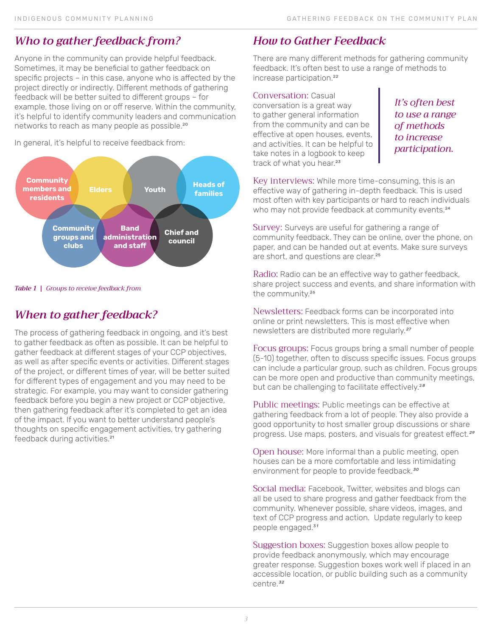## *Who to gather feedback from?*

Anyone in the community can provide helpful feedback. Sometimes, it may be beneficial to gather feedback on specific projects – in this case, anyone who is affected by the project directly or indirectly. Different methods of gathering feedback will be better suited to different groups – for example, those living on or off reserve. Within the community, it's helpful to identify community leaders and communication networks to reach as many people as possible.<sup>20</sup>

In general, it's helpful to receive feedback from:



*Table 1 | Groups to receive feedback from* 

## *When to gather feedback?*

The process of gathering feedback in ongoing, and it's best to gather feedback as often as possible. It can be helpful to gather feedback at different stages of your CCP objectives, as well as after specific events or activities. Different stages of the project, or different times of year, will be better suited for different types of engagement and you may need to be strategic. For example, you may want to consider gathering feedback before you begin a new project or CCP objective, then gathering feedback after it's completed to get an idea of the impact. If you want to better understand people's thoughts on specific engagement activities, try gathering feedback during activities.<sup>21</sup>

# *How to Gather Feedback*

There are many different methods for gathering community feedback. It's often best to use a range of methods to increase participation.<sup>22</sup>

#### Conversation: Casual conversation is a great way to gather general information from the community and can be effective at open houses, events, and activities. It can be helpful to take notes in a logbook to keep track of what you hear.<sup>23</sup>

*It's often best to use a range of methods to increase participation.*

Key interviews: While more time-consuming, this is an effective way of gathering in-depth feedback. This is used most often with key participants or hard to reach individuals who may not provide feedback at community events.<sup>24</sup>

Survey: Surveys are useful for gathering a range of community feedback. They can be online, over the phone, on paper, and can be handed out at events. Make sure surveys are short, and questions are clear.<sup>25</sup>

Radio: Radio can be an effective way to gather feedback, share project success and events, and share information with the community.26

Newsletters: Feedback forms can be incorporated into online or print newsletters. This is most effective when newsletters are distributed more regularly.*27* 

Focus groups: Focus groups bring a small number of people (5-10) together, often to discuss specific issues. Focus groups can include a particular group, such as children. Focus groups can be more open and productive than community meetings, but can be challenging to facilitate effectively.2*8* 

Public meetings: Public meetings can be effective at gathering feedback from a lot of people. They also provide a good opportunity to host smaller group discussions or share progress. Use maps, posters, and visuals for greatest effect.*29* 

Open house: More informal than a public meeting, open houses can be a more comfortable and less intimidating environment for people to provide feedback.*30*

Social media: Facebook, Twitter, websites and blogs can all be used to share progress and gather feedback from the community. Whenever possible, share videos, images, and text of CCP progress and action. Update regularly to keep people engaged.3*1* 

Suggestion boxes: Suggestion boxes allow people to provide feedback anonymously, which may encourage greater response. Suggestion boxes work well if placed in an accessible location, or public building such as a community centre.*32*